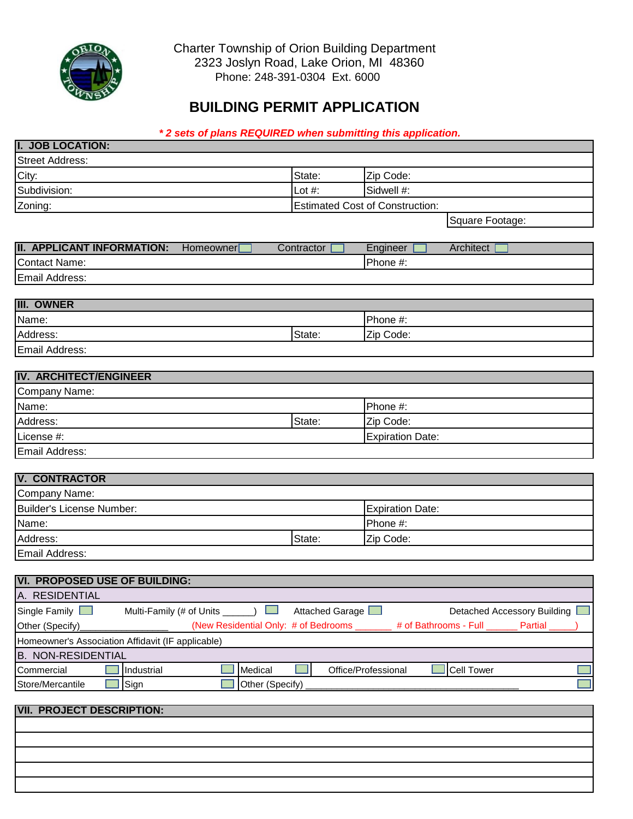

**I. JOB LOCATION:** 

 Charter Township of Orion Building Department 2323 Joslyn Road, Lake Orion, MI 48360 Phone: 248-391-0304 Ext. 6000

## **BUILDING PERMIT APPLICATION**

## *\* 2 sets of plans REQUIRED when submitting this application.*

| <b>Street Address:</b>                                  |                 |                                        |                             |
|---------------------------------------------------------|-----------------|----------------------------------------|-----------------------------|
| City:                                                   | State:          | Zip Code:                              |                             |
| Subdivision:                                            | Lot $#$ :       | Sidwell #:                             |                             |
| Zoning:                                                 |                 | <b>Estimated Cost of Construction:</b> |                             |
|                                                         |                 |                                        | Square Footage:             |
|                                                         |                 |                                        |                             |
| <b>II. APPLICANT INFORMATION:</b><br>Homeowner          | Contractor      | Engineer                               | Architect                   |
| <b>Contact Name:</b>                                    |                 | Phone #:                               |                             |
| Email Address:                                          |                 |                                        |                             |
| <b>III. OWNER</b>                                       |                 |                                        |                             |
| Name:                                                   |                 | Phone #:                               |                             |
| Address:                                                | State:          | Zip Code:                              |                             |
| Email Address:                                          |                 |                                        |                             |
|                                                         |                 |                                        |                             |
| <b>IV. ARCHITECT/ENGINEER</b>                           |                 |                                        |                             |
| Company Name:                                           |                 |                                        |                             |
| Name:                                                   |                 | Phone #:                               |                             |
| Address:                                                | State:          | Zip Code:                              |                             |
| License #:                                              |                 | <b>Expiration Date:</b>                |                             |
| Email Address:                                          |                 |                                        |                             |
|                                                         |                 |                                        |                             |
| <b>V. CONTRACTOR</b>                                    |                 |                                        |                             |
| Company Name:                                           |                 |                                        |                             |
| <b>Builder's License Number:</b>                        |                 | <b>Expiration Date:</b>                |                             |
| Name:                                                   |                 | Phone #:                               |                             |
| Address:                                                | State:          | Zip Code:                              |                             |
| Email Address:                                          |                 |                                        |                             |
| <b>VI. PROPOSED USE OF BUILDING:</b>                    |                 |                                        |                             |
| A. RESIDENTIAL                                          |                 |                                        |                             |
| Single Family<br>Multi-Family (# of Units ____          | Attached Garage |                                        | Detached Accessory Building |
| (New Residential Only: # of Bedrooms<br>Other (Specify) |                 | # of Bathrooms - Full                  | <b>Partial</b>              |
| Homeowner's Association Affidavit (IF applicable)       |                 |                                        |                             |
| <b>B. NON-RESIDENTIAL</b>                               |                 |                                        |                             |
| Medical<br>Industrial<br>Commercial                     |                 | Office/Professional                    | <b>Cell Tower</b>           |
| Store/Mercantile<br>Sign<br>Other (Specify)             |                 |                                        |                             |
|                                                         |                 |                                        |                             |
| <b>VII. PROJECT DESCRIPTION:</b>                        |                 |                                        |                             |
|                                                         |                 |                                        |                             |
|                                                         |                 |                                        |                             |
|                                                         |                 |                                        |                             |
|                                                         |                 |                                        |                             |
|                                                         |                 |                                        |                             |